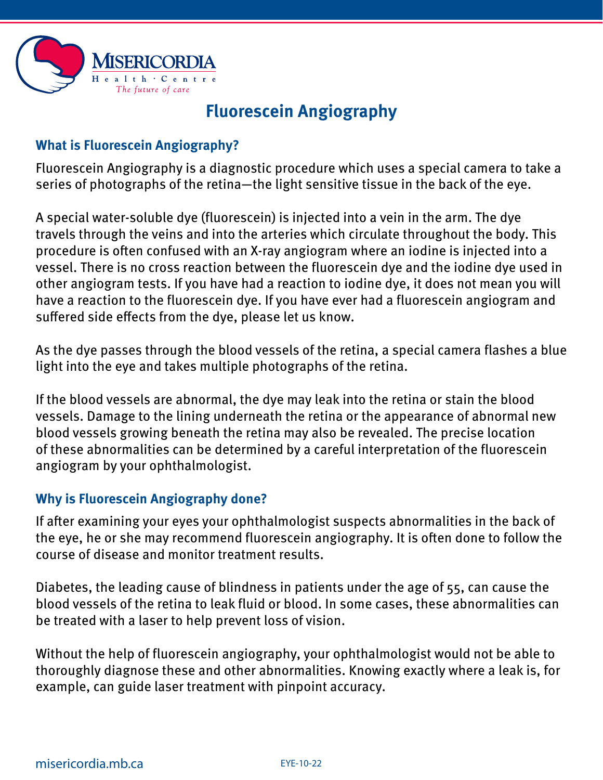

# **Fluorescein Angiography**

## **What is Fluorescein Angiography?**

Fluorescein Angiography is a diagnostic procedure which uses a special camera to take a series of photographs of the retina—the light sensitive tissue in the back of the eye.

A special water-soluble dye (fluorescein) is injected into a vein in the arm. The dye travels through the veins and into the arteries which circulate throughout the body. This procedure is often confused with an X-ray angiogram where an iodine is injected into a vessel. There is no cross reaction between the fluorescein dye and the iodine dye used in other angiogram tests. If you have had a reaction to iodine dye, it does not mean you will have a reaction to the fluorescein dye. If you have ever had a fluorescein angiogram and suffered side effects from the dye, please let us know.

As the dye passes through the blood vessels of the retina, a special camera flashes a blue light into the eye and takes multiple photographs of the retina.

If the blood vessels are abnormal, the dye may leak into the retina or stain the blood vessels. Damage to the lining underneath the retina or the appearance of abnormal new blood vessels growing beneath the retina may also be revealed. The precise location of these abnormalities can be determined by a careful interpretation of the fluorescein angiogram by your ophthalmologist.

## **Why is Fluorescein Angiography done?**

If after examining your eyes your ophthalmologist suspects abnormalities in the back of the eye, he or she may recommend fluorescein angiography. It is often done to follow the course of disease and monitor treatment results.

Diabetes, the leading cause of blindness in patients under the age of 55, can cause the blood vessels of the retina to leak fluid or blood. In some cases, these abnormalities can be treated with a laser to help prevent loss of vision.

Without the help of fluorescein angiography, your ophthalmologist would not be able to thoroughly diagnose these and other abnormalities. Knowing exactly where a leak is, for example, can guide laser treatment with pinpoint accuracy.